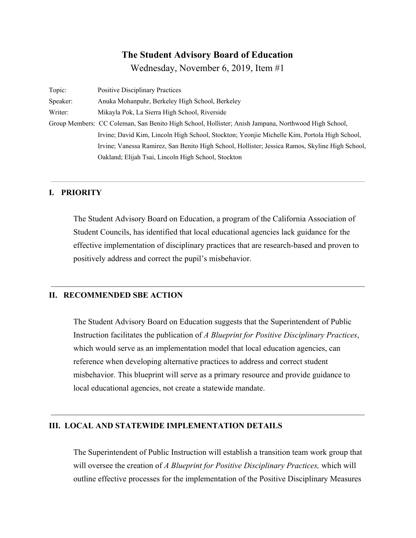## **The Student Advisory Board of Education**

Wednesday, November 6, 2019, Item #1

| Topic:   | <b>Positive Disciplinary Practices</b>                                                              |
|----------|-----------------------------------------------------------------------------------------------------|
| Speaker: | Anuka Mohanpuhr, Berkeley High School, Berkeley                                                     |
| Writer:  | Mikayla Pok, La Sierra High School, Riverside                                                       |
|          | Group Members: CC Coleman, San Benito High School, Hollister; Anish Jampana, Northwood High School, |
|          | Irvine; David Kim, Lincoln High School, Stockton; Yeonjie Michelle Kim, Portola High School,        |
|          | Irvine; Vanessa Ramirez, San Benito High School, Hollister; Jessica Ramos, Skyline High School,     |
|          | Oakland; Elijah Tsai, Lincoln High School, Stockton                                                 |

## **I. PRIORITY**

The Student Advisory Board on Education, a program of the California Association of Student Councils, has identified that local educational agencies lack guidance for the effective implementation of disciplinary practices that are research-based and proven to positively address and correct the pupil's misbehavior.

#### **II. RECOMMENDED SBE ACTION**

The Student Advisory Board on Education suggests that the Superintendent of Public Instruction facilitates the publication of *A Blueprint for Positive Disciplinary Practices*, which would serve as an implementation model that local education agencies, can reference when developing alternative practices to address and correct student misbehavior. This blueprint will serve as a primary resource and provide guidance to local educational agencies, not create a statewide mandate.

## **III. LOCAL AND STATEWIDE IMPLEMENTATION DETAILS**

The Superintendent of Public Instruction will establish a transition team work group that will oversee the creation of *A Blueprint for Positive Disciplinary Practices,* which will outline effective processes for the implementation of the Positive Disciplinary Measures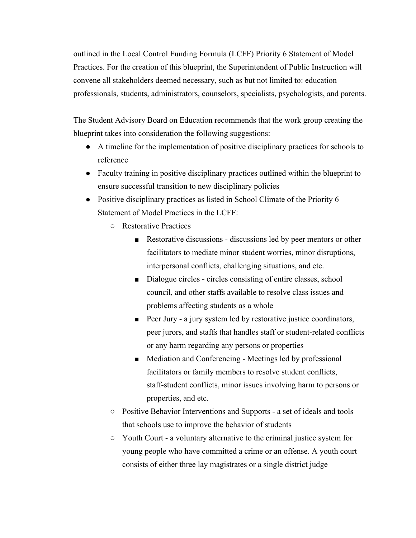outlined in the Local Control Funding Formula (LCFF) Priority 6 Statement of Model Practices. For the creation of this blueprint, the Superintendent of Public Instruction will convene all stakeholders deemed necessary, such as but not limited to: education professionals, students, administrators, counselors, specialists, psychologists, and parents.

The Student Advisory Board on Education recommends that the work group creating the blueprint takes into consideration the following suggestions:

- A timeline for the implementation of positive disciplinary practices for schools to reference
- Faculty training in positive disciplinary practices outlined within the blueprint to ensure successful transition to new disciplinary policies
- Positive disciplinary practices as listed in School Climate of the Priority 6 Statement of Model Practices in the LCFF:
	- Restorative Practices
		- Restorative discussions discussions led by peer mentors or other facilitators to mediate minor student worries, minor disruptions, interpersonal conflicts, challenging situations, and etc.
		- Dialogue circles circles consisting of entire classes, school council, and other staffs available to resolve class issues and problems affecting students as a whole
		- Peer Jury a jury system led by restorative justice coordinators, peer jurors, and staffs that handles staff or student-related conflicts or any harm regarding any persons or properties
		- Mediation and Conferencing Meetings led by professional facilitators or family members to resolve student conflicts, staff-student conflicts, minor issues involving harm to persons or properties, and etc.
	- Positive Behavior Interventions and Supports a set of ideals and tools that schools use to improve the behavior of students
	- Youth Court a voluntary alternative to the criminal justice system for young people who have committed a crime or an offense. A youth court consists of either three lay magistrates or a single district judge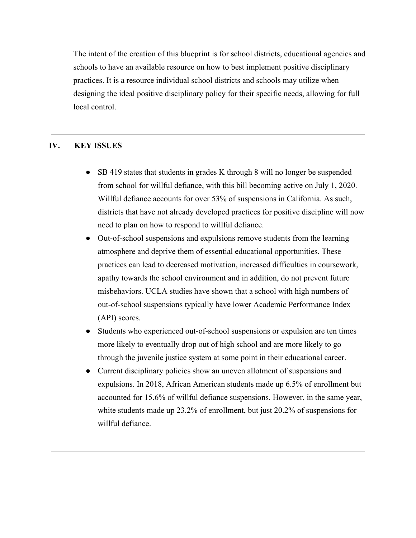The intent of the creation of this blueprint is for school districts, educational agencies and schools to have an available resource on how to best implement positive disciplinary practices. It is a resource individual school districts and schools may utilize when designing the ideal positive disciplinary policy for their specific needs, allowing for full local control.

## **IV. KEY ISSUES**

- SB 419 states that students in grades K through 8 will no longer be suspended from school for willful defiance, with this bill becoming active on July 1, 2020. Willful defiance accounts for over 53% of suspensions in California. As such, districts that have not already developed practices for positive discipline will now need to plan on how to respond to willful defiance.
- Out-of-school suspensions and expulsions remove students from the learning atmosphere and deprive them of essential educational opportunities. These practices can lead to decreased motivation, increased difficulties in coursework, apathy towards the school environment and in addition, do not prevent future misbehaviors. UCLA studies have shown that a school with high numbers of out-of-school suspensions typically have lower Academic Performance Index (API) scores.
- Students who experienced out-of-school suspensions or expulsion are ten times more likely to eventually drop out of high school and are more likely to go through the juvenile justice system at some point in their educational career.
- Current disciplinary policies show an uneven allotment of suspensions and expulsions. In 2018, African American students made up 6.5% of enrollment but accounted for 15.6% of willful defiance suspensions. However, in the same year, white students made up 23.2% of enrollment, but just 20.2% of suspensions for willful defiance.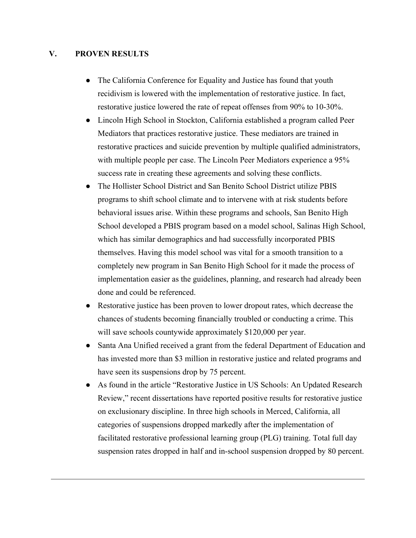#### **V. PROVEN RESULTS**

- The California Conference for Equality and Justice has found that youth recidivism is lowered with the implementation of restorative justice. In fact, restorative justice lowered the rate of repeat offenses from 90% to 10-30%.
- Lincoln High School in Stockton, California established a program called Peer Mediators that practices restorative justice. These mediators are trained in restorative practices and suicide prevention by multiple qualified administrators, with multiple people per case. The Lincoln Peer Mediators experience a 95% success rate in creating these agreements and solving these conflicts.
- The Hollister School District and San Benito School District utilize PBIS programs to shift school climate and to intervene with at risk students before behavioral issues arise. Within these programs and schools, San Benito High School developed a PBIS program based on a model school, Salinas High School, which has similar demographics and had successfully incorporated PBIS themselves. Having this model school was vital for a smooth transition to a completely new program in San Benito High School for it made the process of implementation easier as the guidelines, planning, and research had already been done and could be referenced.
- Restorative justice has been proven to lower dropout rates, which decrease the chances of students becoming financially troubled or conducting a crime. This will save schools countywide approximately \$120,000 per year.
- Santa Ana Unified received a grant from the federal Department of Education and has invested more than \$3 million in restorative justice and related programs and have seen its suspensions drop by 75 percent.
- As found in the article "Restorative Justice in US Schools: An Updated Research Review," recent dissertations have reported positive results for restorative justice on exclusionary discipline. In three high schools in Merced, California, all categories of suspensions dropped markedly after the implementation of facilitated restorative professional learning group (PLG) training. Total full day suspension rates dropped in half and in-school suspension dropped by 80 percent.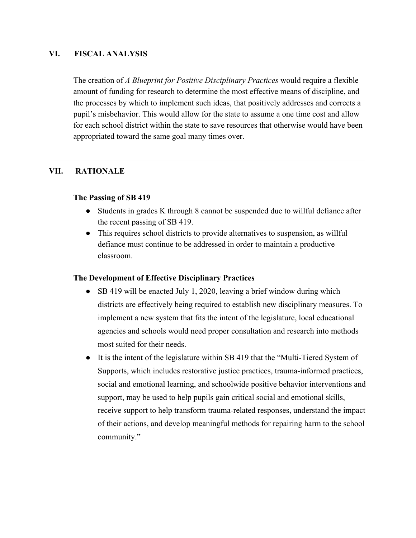#### **VI. FISCAL ANALYSIS**

The creation of *A Blueprint for Positive Disciplinary Practices* would require a flexible amount of funding for research to determine the most effective means of discipline, and the processes by which to implement such ideas, that positively addresses and corrects a pupil's misbehavior. This would allow for the state to assume a one time cost and allow for each school district within the state to save resources that otherwise would have been appropriated toward the same goal many times over.

#### **VII. RATIONALE**

#### **The Passing of SB 419**

- Students in grades K through 8 cannot be suspended due to willful defiance after the recent passing of SB 419.
- This requires school districts to provide alternatives to suspension, as willful defiance must continue to be addressed in order to maintain a productive classroom.

#### **The Development of Effective Disciplinary Practices**

- SB 419 will be enacted July 1, 2020, leaving a brief window during which districts are effectively being required to establish new disciplinary measures. To implement a new system that fits the intent of the legislature, local educational agencies and schools would need proper consultation and research into methods most suited for their needs.
- It is the intent of the legislature within SB 419 that the "Multi-Tiered System of Supports, which includes restorative justice practices, trauma-informed practices, social and emotional learning, and schoolwide positive behavior interventions and support, may be used to help pupils gain critical social and emotional skills, receive support to help transform trauma-related responses, understand the impact of their actions, and develop meaningful methods for repairing harm to the school community."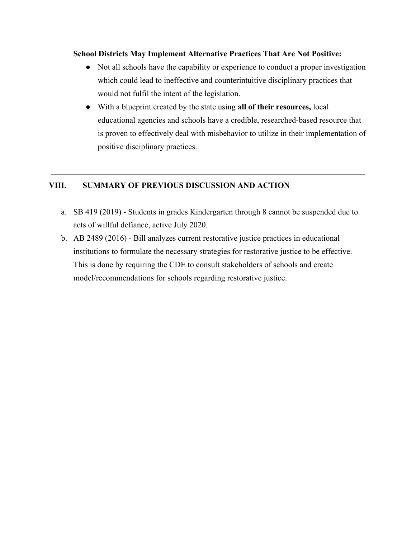#### **School Districts May Implement Alternative Practices That Are Not Positive:**

- Not all schools have the capability or experience to conduct a proper investigation which could lead to ineffective and counterintuitive disciplinary practices that would not fulfil the intent of the legislation.
- With a blueprint created by the state using **all of their resources,** local educational agencies and schools have a credible, researched-based resource that is proven to effectively deal with misbehavior to utilize in their implementation of positive disciplinary practices.

## **VIII. SUMMARY OF PREVIOUS DISCUSSION AND ACTION**

- a. SB 419 (2019) Students in grades Kindergarten through 8 cannot be suspended due to acts of willful defiance, active July 2020.
- b. AB 2489 (2016) Bill analyzes current restorative justice practices in educational institutions to formulate the necessary strategies for restorative justice to be effective. This is done by requiring the CDE to consult stakeholders of schools and create model/recommendations for schools regarding restorative justice.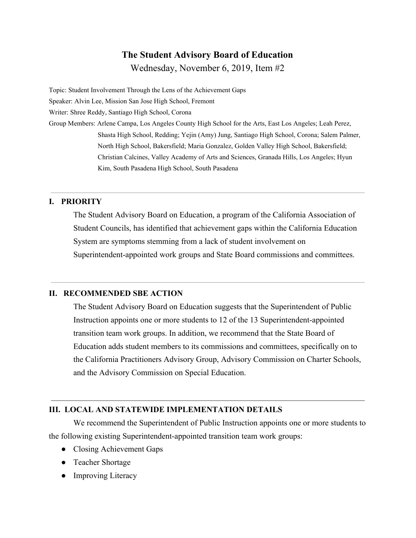# **The Student Advisory Board of Education**

Wednesday, November 6, 2019, Item #2

Topic: Student Involvement Through the Lens of the Achievement Gaps Speaker: Alvin Lee, Mission San Jose High School, Fremont Writer: Shree Reddy, Santiago High School, Corona Group Members: Arlene Campa, Los Angeles County High School for the Arts, East Los Angeles; Leah Perez, Shasta High School, Redding; Yejin (Amy) Jung, Santiago High School, Corona; Salem Palmer, North High School, Bakersfield; Maria Gonzalez, Golden Valley High School, Bakersfield; Christian Calcines, Valley Academy of Arts and Sciences, Granada Hills, Los Angeles; Hyun Kim, South Pasadena High School, South Pasadena

## **I. PRIORITY**

The Student Advisory Board on Education, a program of the California Association of Student Councils, has identified that achievement gaps within the California Education System are symptoms stemming from a lack of student involvement on Superintendent-appointed work groups and State Board commissions and committees.

## **II. RECOMMENDED SBE ACTION**

The Student Advisory Board on Education suggests that the Superintendent of Public Instruction appoints one or more students to 12 of the 13 Superintendent-appointed transition team work groups. In addition, we recommend that the State Board of Education adds student members to its commissions and committees, specifically on to the California Practitioners Advisory Group, Advisory Commission on Charter Schools, and the Advisory Commission on Special Education.

## **III. LOCAL AND STATEWIDE IMPLEMENTATION DETAILS**

We recommend the Superintendent of Public Instruction appoints one or more students to the following existing Superintendent-appointed transition team work groups:

- Closing Achievement Gaps
- Teacher Shortage
- Improving Literacy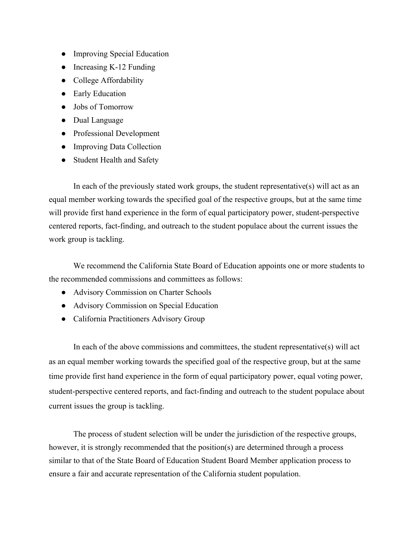- Improving Special Education
- Increasing K-12 Funding
- College Affordability
- Early Education
- Jobs of Tomorrow
- Dual Language
- Professional Development
- Improving Data Collection
- Student Health and Safety

In each of the previously stated work groups, the student representative(s) will act as an equal member working towards the specified goal of the respective groups, but at the same time will provide first hand experience in the form of equal participatory power, student-perspective centered reports, fact-finding, and outreach to the student populace about the current issues the work group is tackling.

We recommend the California State Board of Education appoints one or more students to the recommended commissions and committees as follows:

- Advisory Commission on Charter Schools
- Advisory Commission on Special Education
- California Practitioners Advisory Group

In each of the above commissions and committees, the student representative(s) will act as an equal member working towards the specified goal of the respective group, but at the same time provide first hand experience in the form of equal participatory power, equal voting power, student-perspective centered reports, and fact-finding and outreach to the student populace about current issues the group is tackling.

The process of student selection will be under the jurisdiction of the respective groups, however, it is strongly recommended that the position(s) are determined through a process similar to that of the State Board of Education Student Board Member application process to ensure a fair and accurate representation of the California student population.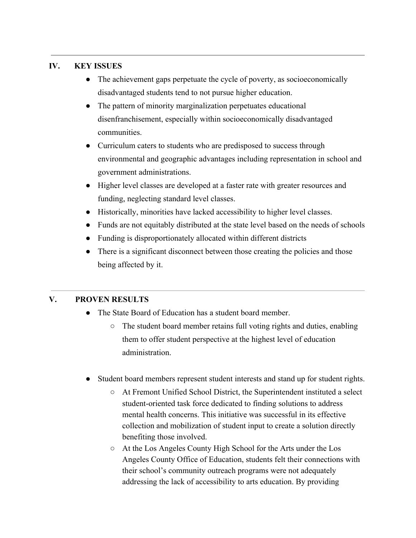## **IV. KEY ISSUES**

- The achievement gaps perpetuate the cycle of poverty, as socioeconomically disadvantaged students tend to not pursue higher education.
- The pattern of minority marginalization perpetuates educational disenfranchisement, especially within socioeconomically disadvantaged communities.
- Curriculum caters to students who are predisposed to success through environmental and geographic advantages including representation in school and government administrations.
- Higher level classes are developed at a faster rate with greater resources and funding, neglecting standard level classes.
- Historically, minorities have lacked accessibility to higher level classes.
- Funds are not equitably distributed at the state level based on the needs of schools
- Funding is disproportionately allocated within different districts
- There is a significant disconnect between those creating the policies and those being affected by it.

## **V. PROVEN RESULTS**

- The State Board of Education has a student board member.
	- The student board member retains full voting rights and duties, enabling them to offer student perspective at the highest level of education administration.
- Student board members represent student interests and stand up for student rights.
	- At Fremont Unified School District, the Superintendent instituted a select student-oriented task force dedicated to finding solutions to address mental health concerns. This initiative was successful in its effective collection and mobilization of student input to create a solution directly benefiting those involved.
	- At the Los Angeles County High School for the Arts under the Los Angeles County Office of Education, students felt their connections with their school's community outreach programs were not adequately addressing the lack of accessibility to arts education. By providing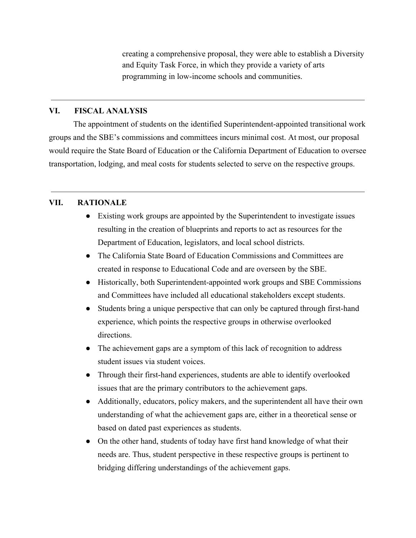creating a comprehensive proposal, they were able to establish a Diversity and Equity Task Force, in which they provide a variety of arts programming in low-income schools and communities.

#### **VI. FISCAL ANALYSIS**

The appointment of students on the identified Superintendent-appointed transitional work groups and the SBE's commissions and committees incurs minimal cost. At most, our proposal would require the State Board of Education or the California Department of Education to oversee transportation, lodging, and meal costs for students selected to serve on the respective groups.

#### **VII. RATIONALE**

- Existing work groups are appointed by the Superintendent to investigate issues resulting in the creation of blueprints and reports to act as resources for the Department of Education, legislators, and local school districts.
- The California State Board of Education Commissions and Committees are created in response to Educational Code and are overseen by the SBE.
- Historically, both Superintendent-appointed work groups and SBE Commissions and Committees have included all educational stakeholders except students.
- Students bring a unique perspective that can only be captured through first-hand experience, which points the respective groups in otherwise overlooked directions.
- The achievement gaps are a symptom of this lack of recognition to address student issues via student voices.
- Through their first-hand experiences, students are able to identify overlooked issues that are the primary contributors to the achievement gaps.
- Additionally, educators, policy makers, and the superintendent all have their own understanding of what the achievement gaps are, either in a theoretical sense or based on dated past experiences as students.
- On the other hand, students of today have first hand knowledge of what their needs are. Thus, student perspective in these respective groups is pertinent to bridging differing understandings of the achievement gaps.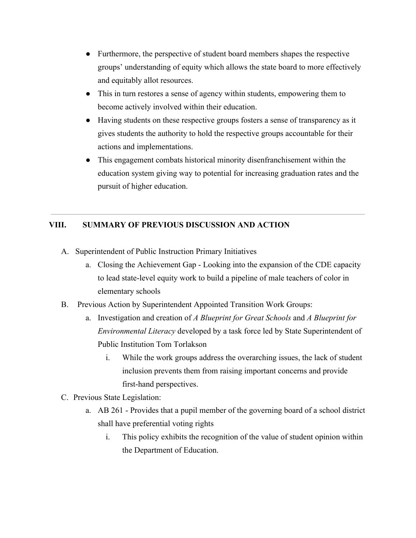- Furthermore, the perspective of student board members shapes the respective groups' understanding of equity which allows the state board to more effectively and equitably allot resources.
- This in turn restores a sense of agency within students, empowering them to become actively involved within their education.
- Having students on these respective groups fosters a sense of transparency as it gives students the authority to hold the respective groups accountable for their actions and implementations.
- This engagement combats historical minority disenfranchisement within the education system giving way to potential for increasing graduation rates and the pursuit of higher education.

## **VIII. SUMMARY OF PREVIOUS DISCUSSION AND ACTION**

- A. Superintendent of Public Instruction Primary Initiatives
	- a. Closing the Achievement Gap Looking into the expansion of the CDE capacity to lead state-level equity work to build a pipeline of male teachers of color in elementary schools
- B. Previous Action by Superintendent Appointed Transition Work Groups:
	- a. Investigation and creation of *A Blueprint for Great Schools* and *A Blueprint for Environmental Literacy* developed by a task force led by State Superintendent of Public Institution Tom Torlakson
		- i. While the work groups address the overarching issues, the lack of student inclusion prevents them from raising important concerns and provide first-hand perspectives.
- C. Previous State Legislation:
	- a. AB 261 Provides that a pupil member of the governing board of a school district shall have preferential voting rights
		- i. This policy exhibits the recognition of the value of student opinion within the Department of Education.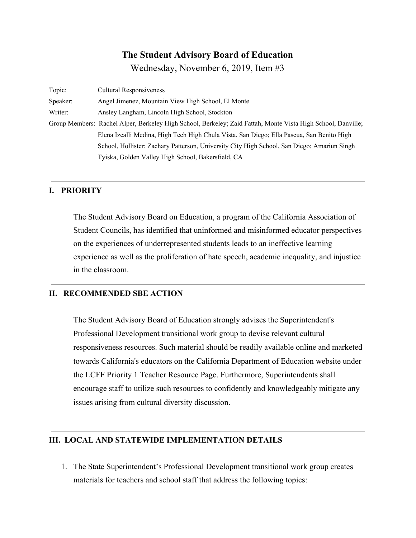## **The Student Advisory Board of Education**

Wednesday, November 6, 2019, Item #3

| Topic:   | <b>Cultural Responsiveness</b>                                                                               |
|----------|--------------------------------------------------------------------------------------------------------------|
| Speaker: | Angel Jimenez, Mountain View High School, El Monte                                                           |
| Writer:  | Ansley Langham, Lincoln High School, Stockton                                                                |
|          | Group Members: Rachel Alper, Berkeley High School, Berkeley; Zaid Fattah, Monte Vista High School, Danville; |
|          | Elena Izcalli Medina, High Tech High Chula Vista, San Diego; Ella Pascua, San Benito High                    |
|          | School, Hollister; Zachary Patterson, University City High School, San Diego; Amariun Singh                  |
|          | Tyiska, Golden Valley High School, Bakersfield, CA                                                           |

## **I. PRIORITY**

The Student Advisory Board on Education, a program of the California Association of Student Councils, has identified that uninformed and misinformed educator perspectives on the experiences of underrepresented students leads to an ineffective learning experience as well as the proliferation of hate speech, academic inequality, and injustice in the classroom.

#### **II. RECOMMENDED SBE ACTION**

The Student Advisory Board of Education strongly advises the Superintendent's Professional Development transitional work group to devise relevant cultural responsiveness resources. Such material should be readily available online and marketed towards California's educators on the California Department of Education website under the LCFF Priority 1 Teacher Resource Page. Furthermore, Superintendents shall encourage staff to utilize such resources to confidently and knowledgeably mitigate any issues arising from cultural diversity discussion.

#### **III. LOCAL AND STATEWIDE IMPLEMENTATION DETAILS**

1. The State Superintendent's Professional Development transitional work group creates materials for teachers and school staff that address the following topics: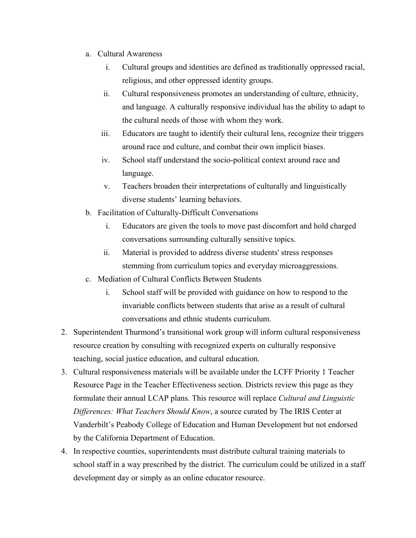- a. Cultural Awareness
	- i. Cultural groups and identities are defined as traditionally oppressed racial, religious, and other oppressed identity groups.
	- ii. Cultural responsiveness promotes an understanding of culture, ethnicity, and language. A culturally responsive individual has the ability to adapt to the cultural needs of those with whom they work.
	- iii. Educators are taught to identify their cultural lens, recognize their triggers around race and culture, and combat their own implicit biases.
	- iv. School staff understand the socio-political context around race and language.
	- v. Teachers broaden their interpretations of culturally and linguistically diverse students' learning behaviors.
- b. Facilitation of Culturally-Difficult Conversations
	- i. Educators are given the tools to move past discomfort and hold charged conversations surrounding culturally sensitive topics.
	- ii. Material is provided to address diverse students' stress responses stemming from curriculum topics and everyday microaggressions.
- c. Mediation of Cultural Conflicts Between Students
	- i. School staff will be provided with guidance on how to respond to the invariable conflicts between students that arise as a result of cultural conversations and ethnic students curriculum.
- 2. Superintendent Thurmond's transitional work group will inform cultural responsiveness resource creation by consulting with recognized experts on culturally responsive teaching, social justice education, and cultural education.
- 3. Cultural responsiveness materials will be available under the LCFF Priority 1 Teacher Resource Page in the Teacher Effectiveness section. Districts review this page as they formulate their annual LCAP plans. This resource will replace *[Cultural and Linguistic](https://iris.peabody.vanderbilt.edu/module/clde/) [Differences: What Teachers Should Know](https://iris.peabody.vanderbilt.edu/module/clde/)*, a source curated by The IRIS Center at Vanderbilt's Peabody College of Education and Human Development but not endorsed by the California Department of Education.
- 4. In respective counties, superintendents must distribute cultural training materials to school staff in a way prescribed by the district. The curriculum could be utilized in a staff development day or simply as an online educator resource.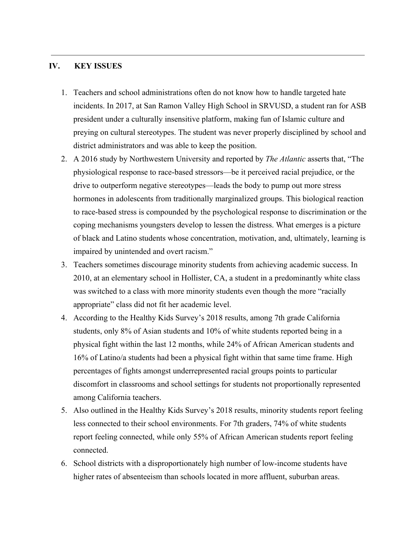#### **IV. KEY ISSUES**

- 1. Teachers and school administrations often do not know how to handle targeted hate incidents. In 2017, at San Ramon Valley High School in SRVUSD, a student ran for ASB president under a culturally insensitive platform, making fun of Islamic culture and preying on cultural stereotypes. The student was never properly disciplined by school and district administrators and was able to keep the position.
- 2. A 2016 study by Northwestern University and reported by *The Atlantic* asserts that, "The physiological response to race-based stressors—be it perceived racial prejudice, or the drive to outperform negative stereotypes—leads the body to pump out more stress hormones in adolescents from traditionally marginalized groups. This biological reaction to race-based stress is compounded by the psychological response to discrimination or the coping mechanisms youngsters develop to lessen the distress. What emerges is a picture of black and Latino students whose concentration, motivation, and, ultimately, learning is impaired by unintended and overt racism."
- 3. Teachers sometimes discourage minority students from achieving academic success. In 2010, at an elementary school in Hollister, CA, a student in a predominantly white class was switched to a class with more minority students even though the more "racially appropriate" class did not fit her academic level.
- 4. According to the Healthy Kids Survey's 2018 results, among 7th grade California students, only 8% of Asian students and 10% of white students reported being in a physical fight within the last 12 months, while 24% of African American students and 16% of Latino/a students had been a physical fight within that same time frame. High percentages of fights amongst underrepresented racial groups points to particular discomfort in classrooms and school settings for students not proportionally represented among California teachers.
- 5. Also outlined in the Healthy Kids Survey's 2018 results, minority students report feeling less connected to their school environments. For 7th graders, 74% of white students report feeling connected, while only 55% of African American students report feeling connected.
- 6. School districts with a disproportionately high number of low-income students have higher rates of absenteeism than schools located in more affluent, suburban areas.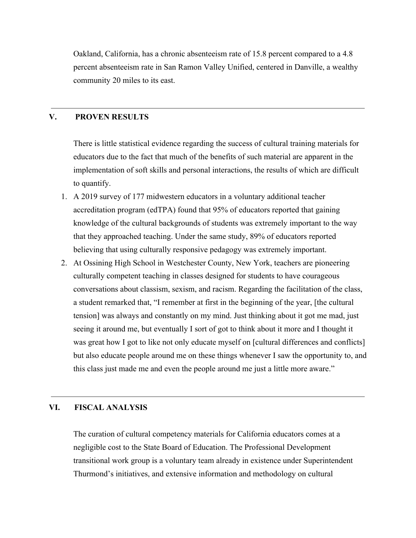Oakland, California, has a chronic absenteeism rate of 15.8 percent compared to a 4.8 percent absenteeism rate in San Ramon Valley Unified, centered in Danville, a wealthy community 20 miles to its east.

#### **V. PROVEN RESULTS**

There is little statistical evidence regarding the success of cultural training materials for educators due to the fact that much of the benefits of such material are apparent in the implementation of soft skills and personal interactions, the results of which are difficult to quantify.

- 1. A 2019 survey of 177 midwestern educators in a voluntary additional teacher accreditation program (edTPA) found that 95% of educators reported that gaining knowledge of the cultural backgrounds of students was extremely important to the way that they approached teaching. Under the same study, 89% of educators reported believing that using culturally responsive pedagogy was extremely important.
- 2. At Ossining High School in Westchester County, New York, teachers are pioneering culturally competent teaching in classes designed for students to have courageous conversations about classism, sexism, and racism. Regarding the facilitation of the class, a student remarked that, "I remember at first in the beginning of the year, [the cultural tension] was always and constantly on my mind. Just thinking about it got me mad, just seeing it around me, but eventually I sort of got to think about it more and I thought it was great how I got to like not only educate myself on [cultural differences and conflicts] but also educate people around me on these things whenever I saw the opportunity to, and this class just made me and even the people around me just a little more aware."

#### **VI. FISCAL ANALYSIS**

The curation of cultural competency materials for California educators comes at a negligible cost to the State Board of Education. The Professional Development transitional work group is a voluntary team already in existence under Superintendent Thurmond's initiatives, and extensive information and methodology on cultural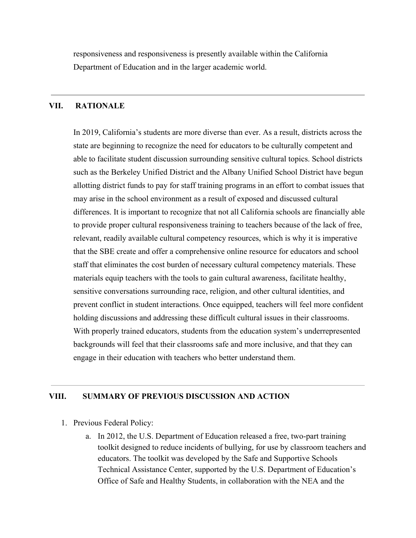responsiveness and responsiveness is presently available within the California Department of Education and in the larger academic world.

#### **VII. RATIONALE**

In 2019, California's students are more diverse than ever. As a result, districts across the state are beginning to recognize the need for educators to be culturally competent and able to facilitate student discussion surrounding sensitive cultural topics. School districts such as the Berkeley Unified District and the Albany Unified School District have begun allotting district funds to pay for staff training programs in an effort to combat issues that may arise in the school environment as a result of exposed and discussed cultural differences. It is important to recognize that not all California schools are financially able to provide proper cultural responsiveness training to teachers because of the lack of free, relevant, readily available cultural competency resources, which is why it is imperative that the SBE create and offer a comprehensive online resource for educators and school staff that eliminates the cost burden of necessary cultural competency materials. These materials equip teachers with the tools to gain cultural awareness, facilitate healthy, sensitive conversations surrounding race, religion, and other cultural identities, and prevent conflict in student interactions. Once equipped, teachers will feel more confident holding discussions and addressing these difficult cultural issues in their classrooms. With properly trained educators, students from the education system's underrepresented backgrounds will feel that their classrooms safe and more inclusive, and that they can engage in their education with teachers who better understand them.

#### **VIII. SUMMARY OF PREVIOUS DISCUSSION AND ACTION**

- 1. Previous Federal Policy:
	- a. In 2012, the U.S. Department of Education released a free, two-part training toolkit designed to reduce incidents of bullying, for use by classroom teachers and educators. The toolkit was developed by the Safe and Supportive Schools Technical Assistance Center, supported by the U.S. Department of Education's Office of Safe and Healthy Students, in collaboration with the NEA and the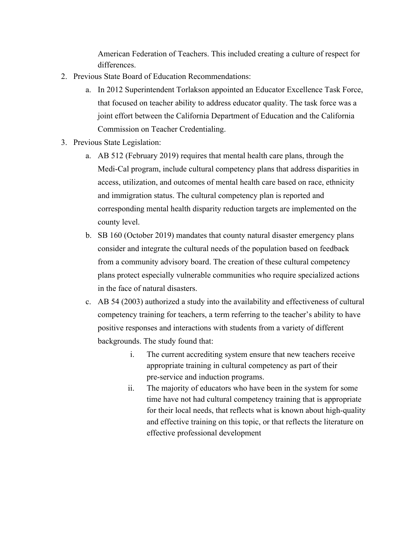American Federation of Teachers. This included creating a culture of respect for differences.

- 2. Previous State Board of Education Recommendations:
	- a. In 2012 Superintendent Torlakson appointed an Educator Excellence Task Force, that focused on teacher ability to address educator quality. The task force was a joint effort between the California Department of Education and the California Commission on Teacher Credentialing.
- 3. Previous State Legislation:
	- a. AB 512 (February 2019) requires that mental health care plans, through the Medi-Cal program, include cultural competency plans that address disparities in access, utilization, and outcomes of mental health care based on race, ethnicity and immigration status. The cultural competency plan is reported and corresponding mental health disparity reduction targets are implemented on the county level.
	- b. SB 160 (October 2019) mandates that county natural disaster emergency plans consider and integrate the cultural needs of the population based on feedback from a community advisory board. The creation of these cultural competency plans protect especially vulnerable communities who require specialized actions in the face of natural disasters.
	- c. AB 54 (2003) authorized a study into the availability and effectiveness of cultural competency training for teachers, a term referring to the teacher's ability to have positive responses and interactions with students from a variety of different backgrounds. The study found that:
		- i. The current accrediting system ensure that new teachers receive appropriate training in cultural competency as part of their pre-service and induction programs.
		- ii. The majority of educators who have been in the system for some time have not had cultural competency training that is appropriate for their local needs, that reflects what is known about high-quality and effective training on this topic, or that reflects the literature on effective professional development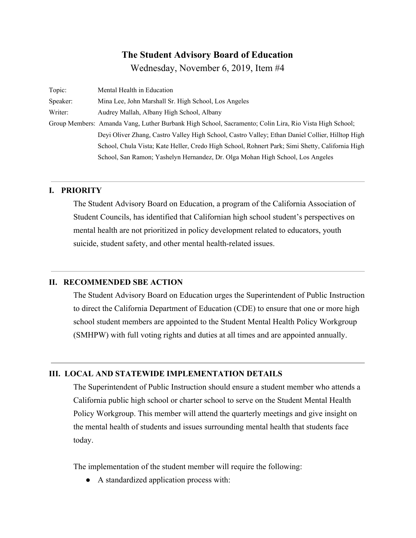## **The Student Advisory Board of Education**

Wednesday, November 6, 2019, Item #4

| Topic:   | Mental Health in Education                                                                             |
|----------|--------------------------------------------------------------------------------------------------------|
| Speaker: | Mina Lee, John Marshall Sr. High School, Los Angeles                                                   |
| Writer:  | Audrey Mallah, Albany High School, Albany                                                              |
|          | Group Members: Amanda Vang, Luther Burbank High School, Sacramento; Colin Lira, Rio Vista High School; |
|          | Deyi Oliver Zhang, Castro Valley High School, Castro Valley; Ethan Daniel Collier, Hilltop High        |
|          | School, Chula Vista; Kate Heller, Credo High School, Rohnert Park; Simi Shetty, California High        |
|          | School, San Ramon; Yashelyn Hernandez, Dr. Olga Mohan High School, Los Angeles                         |

## **I. PRIORITY**

The Student Advisory Board on Education, a program of the California Association of Student Councils, has identified that Californian high school student's perspectives on mental health are not prioritized in policy development related to educators, youth suicide, student safety, and other mental health-related issues.

#### **II. RECOMMENDED SBE ACTION**

The Student Advisory Board on Education urges the Superintendent of Public Instruction to direct the California Department of Education (CDE) to ensure that one or more high school student members are appointed to the Student Mental Health Policy Workgroup (SMHPW) with full voting rights and duties at all times and are appointed annually.

#### **III. LOCAL AND STATEWIDE IMPLEMENTATION DETAILS**

The Superintendent of Public Instruction should ensure a student member who attends a California public high school or charter school to serve on the Student Mental Health Policy Workgroup. This member will attend the quarterly meetings and give insight on the mental health of students and issues surrounding mental health that students face today.

The implementation of the student member will require the following:

● A standardized application process with: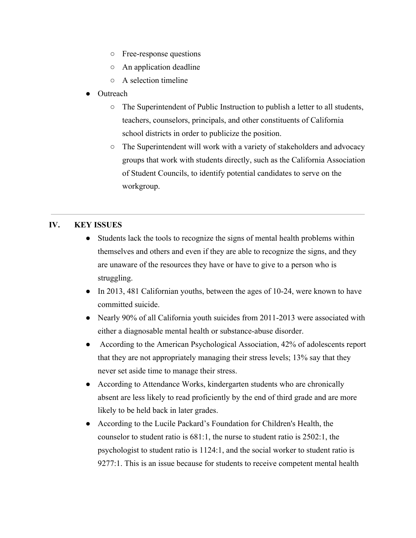- Free-response questions
- An application deadline
- A selection timeline
- **Outreach** 
	- The Superintendent of Public Instruction to publish a letter to all students, teachers, counselors, principals, and other constituents of California school districts in order to publicize the position.
	- $\circ$  The Superintendent will work with a variety of stakeholders and advocacy groups that work with students directly, such as the California Association of Student Councils, to identify potential candidates to serve on the workgroup.

#### **IV. KEY ISSUES**

- Students lack the tools to recognize the signs of mental health problems within themselves and others and even if they are able to recognize the signs, and they are unaware of the resources they have or have to give to a person who is struggling.
- In 2013, 481 Californian youths, between the ages of 10-24, were known to have committed suicide.
- Nearly 90% of all California youth suicides from 2011-2013 were associated with either a diagnosable mental health or substance-abuse disorder.
- According to the American Psychological Association, 42% of adolescents report that they are not appropriately managing their stress levels; 13% say that they never set aside time to manage their stress.
- According to Attendance Works, kindergarten students who are chronically absent are less likely to read proficiently by the end of third grade and are more likely to be held back in later grades.
- According to the Lucile Packard's Foundation for Children's Health, the counselor to student ratio is 681:1, the nurse to student ratio is 2502:1, the psychologist to student ratio is 1124:1, and the social worker to student ratio is 9277:1. This is an issue because for students to receive competent mental health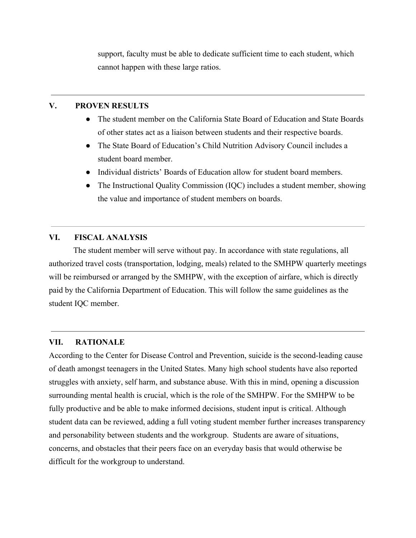support, faculty must be able to dedicate sufficient time to each student, which cannot happen with these large ratios.

#### **V. PROVEN RESULTS**

- The student member on the California State Board of Education and State Boards of other states act as a liaison between students and their respective boards.
- The State Board of Education's Child Nutrition Advisory Council includes a student board member.
- Individual districts' Boards of Education allow for student board members.
- The Instructional Quality Commission (IQC) includes a student member, showing the value and importance of student members on boards.

## **VI. FISCAL ANALYSIS**

The student member will serve without pay. In accordance with state regulations, all authorized travel costs (transportation, lodging, meals) related to the SMHPW quarterly meetings will be reimbursed or arranged by the SMHPW, with the exception of airfare, which is directly paid by the California Department of Education. This will follow the same guidelines as the student IQC member.

## **VII. RATIONALE**

According to the Center for Disease Control and Prevention, suicide is the second-leading cause of death amongst teenagers in the United States. Many high school students have also reported struggles with anxiety, self harm, and substance abuse. With this in mind, opening a discussion surrounding mental health is crucial, which is the role of the SMHPW. For the SMHPW to be fully productive and be able to make informed decisions, student input is critical. Although student data can be reviewed, adding a full voting student member further increases transparency and personability between students and the workgroup. Students are aware of situations, concerns, and obstacles that their peers face on an everyday basis that would otherwise be difficult for the workgroup to understand.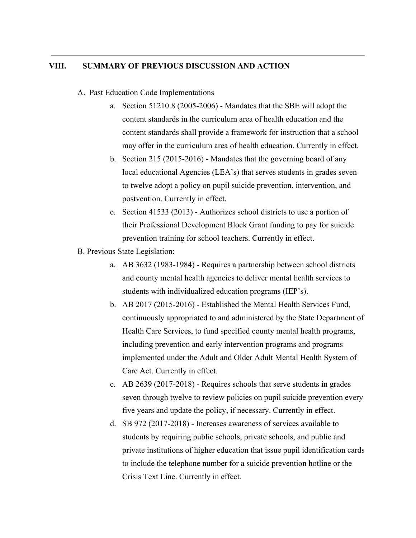#### **VIII. SUMMARY OF PREVIOUS DISCUSSION AND ACTION**

#### A. Past Education Code Implementations

- a. Section 51210.8 (2005-2006) Mandates that the SBE will adopt the content standards in the curriculum area of health education and the content standards shall provide a framework for instruction that a school may offer in the curriculum area of health education. Currently in effect.
- b. Section 215 (2015-2016) Mandates that the governing board of any local educational Agencies (LEA's) that serves students in grades seven to twelve adopt a policy on pupil suicide prevention, intervention, and postvention. Currently in effect.
- c. Section 41533 (2013) Authorizes school districts to use a portion of their Professional Development Block Grant funding to pay for suicide prevention training for school teachers. Currently in effect.
- B. Previous State Legislation:
	- a. AB 3632 (1983-1984) Requires a partnership between school districts and county mental health agencies to deliver mental health services to students with individualized education programs (IEP's).
	- b. AB 2017 (2015-2016) Established the Mental Health Services Fund, continuously appropriated to and administered by the State Department of Health Care Services, to fund specified county mental health programs, including prevention and early intervention programs and programs implemented under the Adult and Older Adult Mental Health System of Care Act. Currently in effect.
	- c. AB 2639 (2017-2018) Requires schools that serve students in grades seven through twelve to review policies on pupil suicide prevention every five years and update the policy, if necessary. Currently in effect.
	- d. SB 972 (2017-2018) Increases awareness of services available to students by requiring public schools, private schools, and public and private institutions of higher education that issue pupil identification cards to include the telephone number for a suicide prevention hotline or the Crisis Text Line. Currently in effect.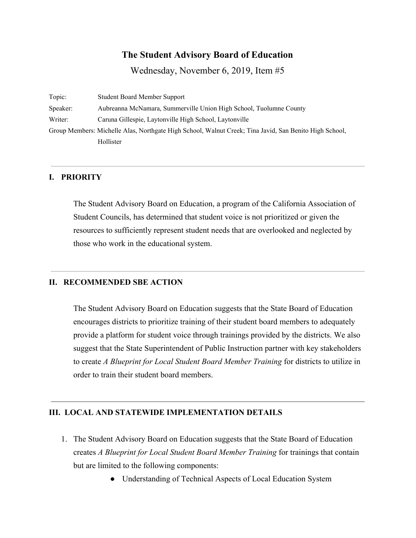# **The Student Advisory Board of Education**

Wednesday, November 6, 2019, Item #5

Topic: Student Board Member Support Speaker: Aubreanna McNamara, Summerville Union High School, Tuolumne County Writer: Caruna Gillespie, Laytonville High School, Laytonville Group Members: Michelle Alas, Northgate High School, Walnut Creek; Tina Javid, San Benito High School, Hollister

## **I. PRIORITY**

The Student Advisory Board on Education, a program of the California Association of Student Councils, has determined that student voice is not prioritized or given the resources to sufficiently represent student needs that are overlooked and neglected by those who work in the educational system.

## **II. RECOMMENDED SBE ACTION**

The Student Advisory Board on Education suggests that the State Board of Education encourages districts to prioritize training of their student board members to adequately provide a platform for student voice through trainings provided by the districts. We also suggest that the State Superintendent of Public Instruction partner with key stakeholders to create *A Blueprint for Local Student Board Member Training* for districts to utilize in order to train their student board members.

## **III. LOCAL AND STATEWIDE IMPLEMENTATION DETAILS**

- 1. The Student Advisory Board on Education suggests that the State Board of Education creates *A Blueprint for Local Student Board Member Training* for trainings that contain but are limited to the following components:
	- Understanding of Technical Aspects of Local Education System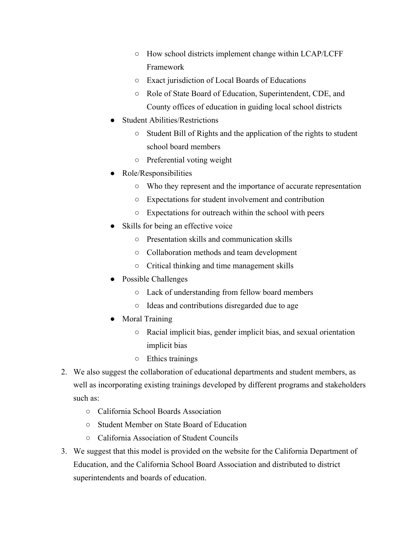- How school districts implement change within LCAP/LCFF Framework
- Exact jurisdiction of Local Boards of Educations
- Role of State Board of Education, Superintendent, CDE, and County offices of education in guiding local school districts
- **Student Abilities/Restrictions** 
	- Student Bill of Rights and the application of the rights to student school board members
	- Preferential voting weight
- Role/Responsibilities
	- Who they represent and the importance of accurate representation
	- Expectations for student involvement and contribution
	- Expectations for outreach within the school with peers
- Skills for being an effective voice
	- Presentation skills and communication skills
	- Collaboration methods and team development
	- Critical thinking and time management skills
- Possible Challenges
	- Lack of understanding from fellow board members
	- Ideas and contributions disregarded due to age
- Moral Training
	- Racial implicit bias, gender implicit bias, and sexual orientation implicit bias
	- Ethics trainings
- 2. We also suggest the collaboration of educational departments and student members, as well as incorporating existing trainings developed by different programs and stakeholders such as:
	- California School Boards Association
	- Student Member on State Board of Education
	- California Association of Student Councils
- 3. We suggest that this model is provided on the website for the California Department of Education, and the California School Board Association and distributed to district superintendents and boards of education.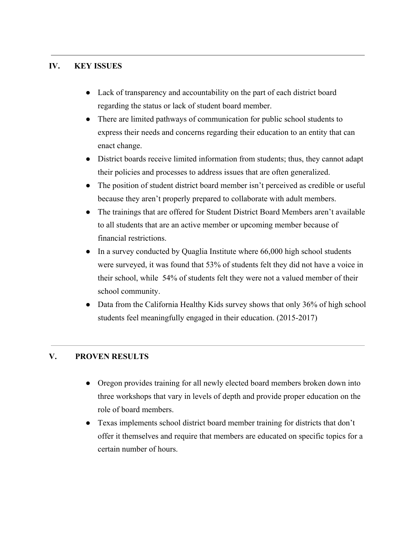## **IV. KEY ISSUES**

- Lack of transparency and accountability on the part of each district board regarding the status or lack of student board member.
- There are limited pathways of communication for public school students to express their needs and concerns regarding their education to an entity that can enact change.
- District boards receive limited information from students; thus, they cannot adapt their policies and processes to address issues that are often generalized.
- The position of student district board member isn't perceived as credible or useful because they aren't properly prepared to collaborate with adult members.
- The trainings that are offered for Student District Board Members aren't available to all students that are an active member or upcoming member because of financial restrictions.
- In a survey conducted by Quaglia Institute where 66,000 high school students were surveyed, it was found that 53% of students felt they did not have a voice in their school, while 54% of students felt they were not a valued member of their school community.
- Data from the California Healthy Kids survey shows that only 36% of high school students feel meaningfully engaged in their education. (2015-2017)

## **V. PROVEN RESULTS**

- Oregon provides training for all newly elected board members broken down into three workshops that vary in levels of depth and provide proper education on the role of board members.
- Texas implements school district board member training for districts that don't offer it themselves and require that members are educated on specific topics for a certain number of hours.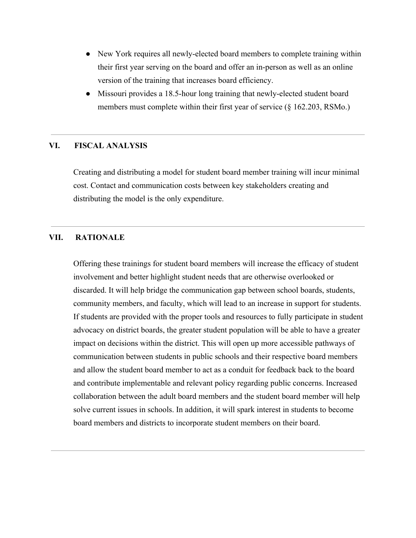- New York requires all newly-elected board members to complete training within their first year serving on the board and offer an in-person as well as an online version of the training that increases board efficiency.
- Missouri provides a 18.5-hour long training that newly-elected student board members must complete within their first year of service (§ 162.203, RSMo.)

## **VI. FISCAL ANALYSIS**

Creating and distributing a model for student board member training will incur minimal cost. Contact and communication costs between key stakeholders creating and distributing the model is the only expenditure.

#### **VII. RATIONALE**

Offering these trainings for student board members will increase the efficacy of student involvement and better highlight student needs that are otherwise overlooked or discarded. It will help bridge the communication gap between school boards, students, community members, and faculty, which will lead to an increase in support for students. If students are provided with the proper tools and resources to fully participate in student advocacy on district boards, the greater student population will be able to have a greater impact on decisions within the district. This will open up more accessible pathways of communication between students in public schools and their respective board members and allow the student board member to act as a conduit for feedback back to the board and contribute implementable and relevant policy regarding public concerns. Increased collaboration between the adult board members and the student board member will help solve current issues in schools. In addition, it will spark interest in students to become board members and districts to incorporate student members on their board.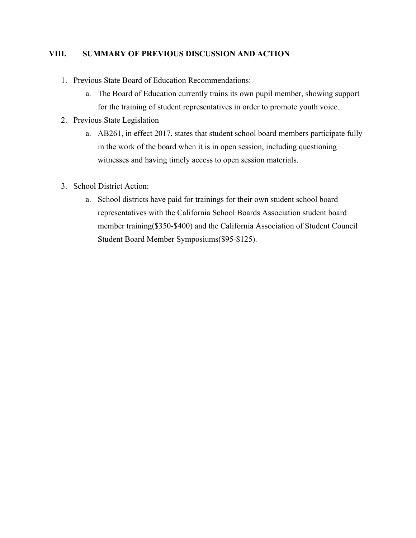## **VIII. SUMMARY OF PREVIOUS DISCUSSION AND ACTION**

- 1. Previous State Board of Education Recommendations:
	- a. The Board of Education currently trains its own pupil member, showing support for the training of student representatives in order to promote youth voice.
- 2. Previous State Legislation
	- a. AB261, in effect 2017, states that student school board members participate fully in the work of the board when it is in open session, including questioning witnesses and having timely access to open session materials.
- 3. School District Action:
	- a. School districts have paid for trainings for their own student school board representatives with the California School Boards Association student board member training(\$350-\$400) and the California Association of Student Council Student Board Member Symposiums(\$95-\$125).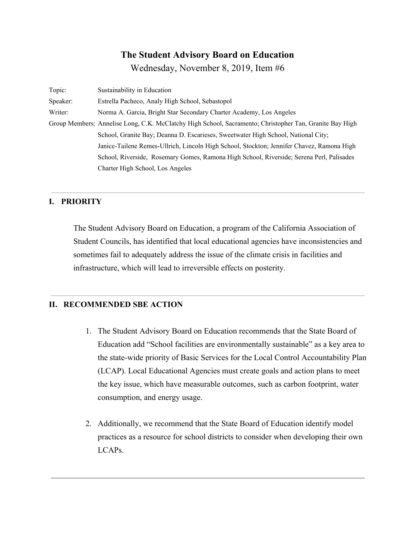# **The Student Advisory Board on Education**

Wednesday, November 8, 2019, Item #6

| Topic:   | Sustainability in Education                                                                             |
|----------|---------------------------------------------------------------------------------------------------------|
| Speaker: | Estrella Pacheco, Analy High School, Sebastopol                                                         |
| Writer:  | Norma A. Garcia, Bright Star Secondary Charter Academy, Los Angeles                                     |
|          | Group Members: Annelise Long, C.K. McClatchy High School, Sacramento; Christopher Tan, Granite Bay High |
|          | School, Granite Bay; Deanna D. Escarieses, Sweetwater High School, National City;                       |
|          | Janice-Tailene Remes-Ullrich, Lincoln High School, Stockton; Jennifer Chavez, Ramona High               |
|          | School, Riverside, Rosemary Gomes, Ramona High School, Riverside; Serena Perl, Palisades                |
|          | Charter High School, Los Angeles                                                                        |

## **I. PRIORITY**

The Student Advisory Board on Education, a program of the California Association of Student Councils, has identified that local educational agencies have inconsistencies and sometimes fail to adequately address the issue of the climate crisis in facilities and infrastructure, which will lead to irreversible effects on posterity.

## **II. RECOMMENDED SBE ACTION**

- 1. The Student Advisory Board on Education recommends that the State Board of Education add "School facilities are environmentally sustainable" as a key area to the state-wide priority of Basic Services for the Local Control Accountability Plan (LCAP). Local Educational Agencies must create goals and action plans to meet the key issue, which have measurable outcomes, such as carbon footprint, water consumption, and energy usage.
- 2. Additionally, we recommend that the State Board of Education identify model practices as a resource for school districts to consider when developing their own LCAPs.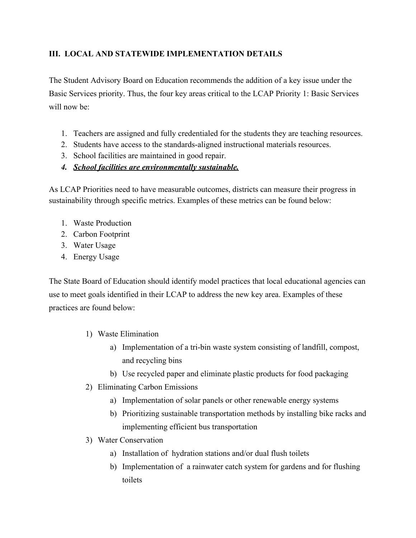## **III. LOCAL AND STATEWIDE IMPLEMENTATION DETAILS**

The Student Advisory Board on Education recommends the addition of a key issue under the Basic Services priority. Thus, the four key areas critical to the LCAP Priority 1: Basic Services will now be:

- 1. Teachers are assigned and fully credentialed for the students they are teaching resources.
- 2. Students have access to the standards-aligned instructional materials resources.
- 3. School facilities are maintained in good repair.
- *4. School facilities are environmentally sustainable.*

As LCAP Priorities need to have measurable outcomes, districts can measure their progress in sustainability through specific metrics. Examples of these metrics can be found below:

- 1. Waste Production
- 2. Carbon Footprint
- 3. Water Usage
- 4. Energy Usage

The State Board of Education should identify model practices that local educational agencies can use to meet goals identified in their LCAP to address the new key area. Examples of these practices are found below:

- 1) Waste Elimination
	- a) Implementation of a tri-bin waste system consisting of landfill, compost, and recycling bins
	- b) Use recycled paper and eliminate plastic products for food packaging
- 2) Eliminating Carbon Emissions
	- a) Implementation of solar panels or other renewable energy systems
	- b) Prioritizing sustainable transportation methods by installing bike racks and implementing efficient bus transportation
- 3) Water Conservation
	- a) Installation of hydration stations and/or dual flush toilets
	- b) Implementation of a rainwater catch system for gardens and for flushing toilets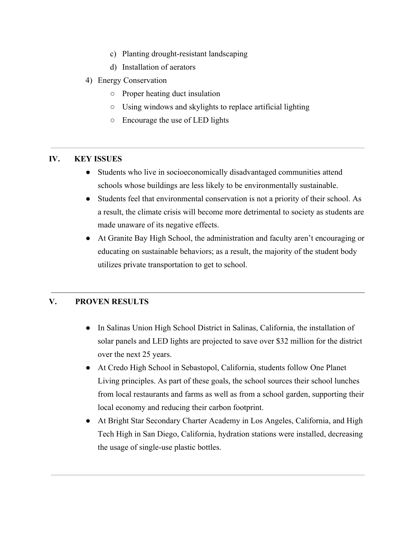- c) Planting drought-resistant landscaping
- d) Installation of aerators
- 4) Energy Conservation
	- Proper heating duct insulation
	- Using windows and skylights to replace artificial lighting
	- Encourage the use of LED lights

## **IV. KEY ISSUES**

- Students who live in socioeconomically disadvantaged communities attend schools whose buildings are less likely to be environmentally sustainable.
- Students feel that environmental conservation is not a priority of their school. As a result, the climate crisis will become more detrimental to society as students are made unaware of its negative effects.
- At Granite Bay High School, the administration and faculty aren't encouraging or educating on sustainable behaviors; as a result, the majority of the student body utilizes private transportation to get to school.

## **V. PROVEN RESULTS**

- In Salinas Union High School District in Salinas, California, the installation of solar panels and LED lights are projected to save over \$32 million for the district over the next 25 years.
- At Credo High School in Sebastopol, California, students follow One Planet Living principles. As part of these goals, the school sources their school lunches from local restaurants and farms as well as from a school garden, supporting their local economy and reducing their carbon footprint.
- At Bright Star Secondary Charter Academy in Los Angeles, California, and High Tech High in San Diego, California, hydration stations were installed, decreasing the usage of single-use plastic bottles.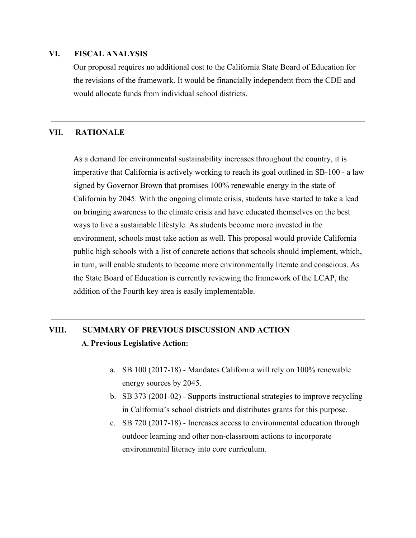#### **VI. FISCAL ANALYSIS**

Our proposal requires no additional cost to the California State Board of Education for the revisions of the framework. It would be financially independent from the CDE and would allocate funds from individual school districts.

#### **VII. RATIONALE**

As a demand for environmental sustainability increases throughout the country, it is imperative that California is actively working to reach its goal outlined in SB-100 - a law signed by Governor Brown that promises 100% renewable energy in the state of California by 2045. With the ongoing climate crisis, students have started to take a lead on bringing awareness to the climate crisis and have educated themselves on the best ways to live a sustainable lifestyle. As students become more invested in the environment, schools must take action as well. This proposal would provide California public high schools with a list of concrete actions that schools should implement, which, in turn, will enable students to become more environmentally literate and conscious. As the State Board of Education is currently reviewing the framework of the LCAP, the addition of the Fourth key area is easily implementable.

# **VIII. SUMMARY OF PREVIOUS DISCUSSION AND ACTION A. Previous Legislative Action:**

- a. SB 100 (2017-18) Mandates California will rely on 100% renewable energy sources by 2045.
- b. SB 373 (2001-02) Supports instructional strategies to improve recycling in California's school districts and distributes grants for this purpose.
- c. SB 720 (2017-18) Increases access to environmental education through outdoor learning and other non-classroom actions to incorporate environmental literacy into core curriculum.